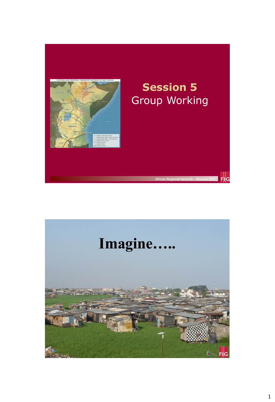

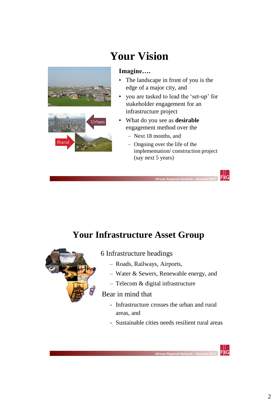

# **Your Vision**

- The landscape in front of you is the edge of a major city, and
- you are tasked to lead the 'set-up' for stakeholder engagement for an infrastructure project
- What do you see as **desirable** engagement method over the
	- Next 18 months, and
	- Ongoing over the life of the implementation/ construction project (say next 5 years)

## **Your Infrastructure Asset Group**

 **African Regional Network – Rwanda 2017** 



#### 6 Infrastructure headings

- Roads, Railways, Airports,
- Water & Sewers, Renewable energy, and
- Telecom & digital infrastructure

#### Bear in mind that

- Infrastructure crosses the urban and rural areas, and
- Sustainable cities needs resilient rural areas

 **African Regional Network – Rwanda 2017** 

 $F||G$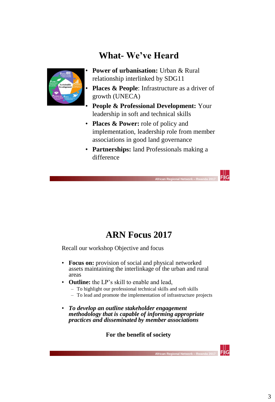## **What- We've Heard**



- **Power of urbanisation:** Urban & Rural relationship interlinked by SDG11
- **Places & People:** Infrastructure as a driver of growth (UNECA)
- **People & Professional Development:** Your leadership in soft and technical skills
- **Places & Power:** role of policy and implementation, leadership role from member associations in good land governance
- **Partnerships:** land Professionals making a difference

 $\frac{1}{2}$  FIIG

### **ARN Focus 2017**

 **African Regional Network – Rwanda 2017** 

Recall our workshop Objective and focus

- **Focus on:** provision of social and physical networked assets maintaining the interlinkage of the urban and rural areas
- **Outline:** the LP's skill to enable and lead,
	- To highlight our professional technical skills and soft skills
	- To lead and promote the implementation of infrastructure projects
- *To develop an outline stakeholder engagement methodology that is capable of informing appropriate practices and disseminated by member associations*

**For the benefit of society**

 **African Regional Network – Rwanda 2017**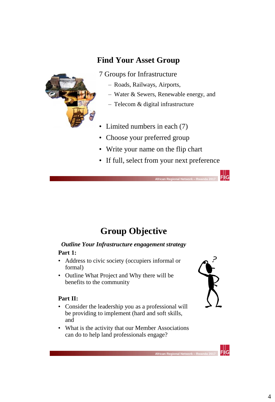### **Find Your Asset Group**



7 Groups for Infrastructure

- Roads, Railways, Airports,
- Water & Sewers, Renewable energy, and
- Telecom & digital infrastructure
- Limited numbers in each (7)
- Choose your preferred group
- Write your name on the flip chart
- If full, select from your next preference

## **Group Objective**

 **African Regional Network – Rwanda 2017** 

### *Outline Your Infrastructure engagement strategy*

#### **Part 1:**

- Address to civic society (occupiers informal or formal)
- Outline What Project and Why there will be benefits to the community

#### **Part II:**

- Consider the leadership you as a professional will be providing to implement (hard and soft skills, and
- What is the activity that our Member Associations can do to help land professionals engage?

 **African Regional Network – Rwanda 2017** 



 $\mathsf{Fil}\mathsf{G}$ 

 $F||G$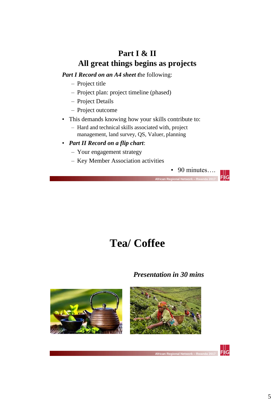### **Part I & II All great things begins as projects**

*Part I Record on an A4 sheet t*he following:

- Project title
- Project plan: project timeline (phased)
- Project Details
- Project outcome
- This demands knowing how your skills contribute to:
	- Hard and technical skills associated with, project management, land survey, QS, Valuer, planning
- *Part II Record on a flip chart*:
	- Your engagement strategy
	- Key Member Association activities



# **Tea/ Coffee**

 **African Regional Network – Rwanda 2017** 

#### *Presentation in 30 mins*



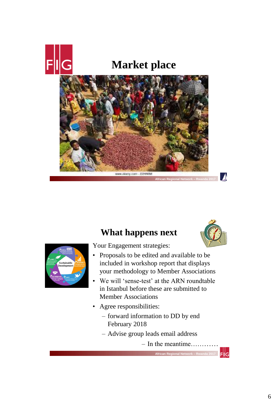

# **Market place**





 $\blacktriangle$ 

 $F||G$ 



Your Engagement strategies:

**What happens next**

- Proposals to be edited and available to be included in workshop report that displays your methodology to Member Associations
- We will 'sense-test' at the ARN roundtable in Istanbul before these are submitted to Member Associations
- Agree responsibilities:

 **African Regional Network – Rwanda 2017** 

- forward information to DD by end February 2018
- Advise group leads email address

– In the meantime…………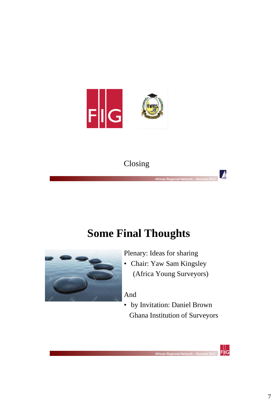

## Closing

 **African Regional Network – Rwanda 2017** 

# **Some Final Thoughts**



Plenary: Ideas for sharing

• Chair: Yaw Sam Kingsley (Africa Young Surveyors)  $\blacktriangle$ 

 $F||G$ 

#### And

 **African Regional Network – Rwanda 2017** 

• by Invitation: Daniel Brown Ghana Institution of Surveyors